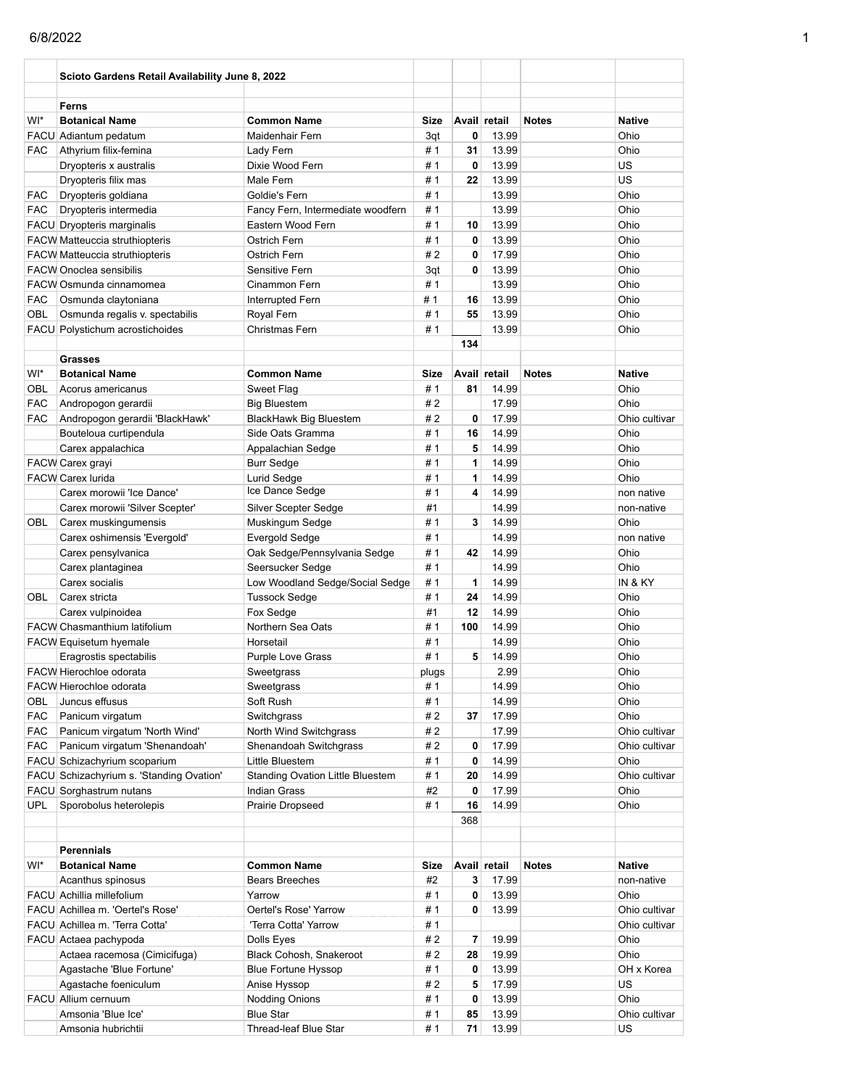|            | Scioto Gardens Retail Availability June 8, 2022 |                                   |             |                         |              |              |               |
|------------|-------------------------------------------------|-----------------------------------|-------------|-------------------------|--------------|--------------|---------------|
|            | Ferns                                           |                                   |             |                         |              |              |               |
| WI*        | <b>Botanical Name</b>                           | <b>Common Name</b>                | <b>Size</b> |                         | Avail retail | <b>Notes</b> | <b>Native</b> |
|            | FACU Adiantum pedatum                           | Maidenhair Fern                   | 3qt         | 0                       | 13.99        |              | Ohio          |
| <b>FAC</b> | Athyrium filix-femina                           | Lady Fern                         | # 1         | 31                      | 13.99        |              | Ohio          |
|            | Dryopteris x australis                          | Dixie Wood Fern                   | #1          | 0                       | 13.99        |              | US            |
|            | Dryopteris filix mas                            | Male Fern                         | #1          | 22                      | 13.99        |              | US            |
| <b>FAC</b> | Dryopteris goldiana                             | Goldie's Fern                     | #1          |                         | 13.99        |              | Ohio          |
| <b>FAC</b> | Dryopteris intermedia                           | Fancy Fern, Intermediate woodfern | #1          |                         | 13.99        |              | Ohio          |
|            | FACU Dryopteris marginalis                      | Eastern Wood Fern                 | #1          | 10                      | 13.99        |              | Ohio          |
|            | <b>FACW Matteuccia struthiopteris</b>           | Ostrich Fern                      | #1          | 0                       | 13.99        |              | Ohio          |
|            | <b>FACW Matteuccia struthiopteris</b>           | Ostrich Fern                      | #2          | 0                       | 17.99        |              | Ohio          |
|            | <b>FACW Onoclea sensibilis</b>                  | Sensitive Fern                    | 3qt         | 0                       | 13.99        |              | Ohio          |
|            | FACW Osmunda cinnamomea                         | Cinammon Fern                     | # 1         |                         | 13.99        |              | Ohio          |
| <b>FAC</b> | Osmunda claytoniana                             | Interrupted Fern                  | #1          | 16                      | 13.99        |              | Ohio          |
| OBL        | Osmunda regalis v. spectabilis                  | Royal Fern                        | #1          | 55                      | 13.99        |              | Ohio          |
|            | FACU Polystichum acrostichoides                 | Christmas Fern                    | #1          |                         | 13.99        |              | Ohio          |
|            |                                                 |                                   |             | 134                     |              |              |               |
|            | <b>Grasses</b>                                  |                                   |             |                         |              |              |               |
| WI*        | <b>Botanical Name</b>                           | <b>Common Name</b>                | <b>Size</b> |                         | Avail retail | <b>Notes</b> | <b>Native</b> |
| OBL        | Acorus americanus                               | Sweet Flag                        | #1          | 81                      | 14.99        |              | Ohio          |
| <b>FAC</b> | Andropogon gerardii                             | <b>Big Bluestem</b>               | #2          |                         | 17.99        |              | Ohio          |
| <b>FAC</b> | Andropogon gerardii 'BlackHawk'                 | <b>BlackHawk Big Bluestem</b>     | #2          | $\mathbf{0}$            | 17.99        |              | Ohio cultivar |
|            | Bouteloua curtipendula                          | Side Oats Gramma                  | #1          | 16                      | 14.99        |              | Ohio          |
|            | Carex appalachica                               | Appalachian Sedge                 | #1          | 5                       | 14.99        |              | Ohio          |
|            | FACW Carex grayi                                | <b>Burr Sedge</b>                 | #1          | 1                       | 14.99        |              | Ohio          |
|            | <b>FACW Carex lurida</b>                        | Lurid Sedge                       | # 1         | 1                       | 14.99        |              | Ohio          |
|            | Carex morowii 'Ice Dance'                       | Ice Dance Sedge                   | #1          | 4                       | 14.99        |              | non native    |
|            | Carex morowii 'Silver Scepter'                  | Silver Scepter Sedge              | #1          |                         | 14.99        |              | non-native    |
| OBL        | Carex muskingumensis                            | Muskingum Sedge                   | #1          | 3                       | 14.99        |              | Ohio          |
|            | Carex oshimensis 'Evergold'                     | Evergold Sedge                    | #1          |                         | 14.99        |              | non native    |
|            | Carex pensylvanica                              | Oak Sedge/Pennsylvania Sedge      | #1          | 42                      | 14.99        |              | Ohio          |
|            | Carex plantaginea                               | Seersucker Sedge                  | #1          |                         | 14.99        |              | Ohio          |
|            | Carex socialis                                  | Low Woodland Sedge/Social Sedge   | #1          | 1                       | 14.99        |              | IN & KY       |
| OBL        | Carex stricta                                   | <b>Tussock Sedge</b>              | # 1         | 24                      | 14.99        |              | Ohio          |
|            | Carex vulpinoidea                               | Fox Sedge                         | #1          | 12                      | 14.99        |              | Ohio          |
|            | FACW Chasmanthium latifolium                    | Northern Sea Oats                 | #1          | 100                     | 14.99        |              | Ohio          |
|            | <b>FACW Equisetum hyemale</b>                   | Horsetail                         | #1          |                         | 14.99        |              | Ohio          |
|            | Eragrostis spectabilis                          | Purple Love Grass                 | #1          | 5                       | 14.99        |              | Ohio          |
|            | FACW Hierochloe odorata                         | Sweetgrass                        | plugs       |                         | 2.99         |              | Ohio          |
|            | FACW Hierochloe odorata                         | Sweetgrass                        | # 1         |                         | 14.99        |              | Ohio          |
| OBL        | Juncus effusus                                  | Soft Rush                         | #1          |                         | 14.99        |              | Ohio          |
| <b>FAC</b> | Panicum virgatum                                | Switchgrass                       | #2          | 37                      | 17.99        |              | Ohio          |
| FAC        | Panicum virgatum 'North Wind'                   | North Wind Switchgrass            | #2          |                         | 17.99        |              | Ohio cultivar |
| <b>FAC</b> | Panicum virgatum 'Shenandoah'                   | Shenandoah Switchgrass            | # 2         | 0                       | 17.99        |              | Ohio cultivar |
|            | FACU Schizachyrium scoparium                    | Little Bluestem                   | #1          | 0                       | 14.99        |              | Ohio          |
|            | FACU Schizachyrium s. 'Standing Ovation'        | Standing Ovation Little Bluestem  | # 1         | 20                      | 14.99        |              | Ohio cultivar |
|            | FACU Sorghastrum nutans                         | Indian Grass                      | #2          | 0                       | 17.99        |              | Ohio          |
| <b>UPL</b> | Sporobolus heterolepis                          | Prairie Dropseed                  | # 1         | 16                      | 14.99        |              | Ohio          |
|            |                                                 |                                   |             | 368                     |              |              |               |
|            |                                                 |                                   |             |                         |              |              |               |
|            |                                                 |                                   |             |                         |              |              |               |
| WI*        | <b>Perennials</b><br><b>Botanical Name</b>      | <b>Common Name</b>                | Size        |                         | Avail retail | <b>Notes</b> | <b>Native</b> |
|            |                                                 |                                   |             |                         |              |              |               |
|            | Acanthus spinosus                               | Bears Breeches                    | #2          | 3                       | 17.99        |              | non-native    |
|            | FACU Achillia millefolium                       | Yarrow                            | #1          | 0                       | 13.99        |              | Ohio          |
|            | FACU Achillea m. 'Oertel's Rose'                | Oertel's Rose' Yarrow             | #1          | 0                       | 13.99        |              | Ohio cultivar |
|            | FACU Achillea m. 'Terra Cotta'                  | 'Terra Cotta' Yarrow              | # 1         |                         |              |              | Ohio cultivar |
|            | FACU Actaea pachypoda                           | Dolls Eyes                        | #2          | $\overline{\mathbf{r}}$ | 19.99        |              | Ohio          |
|            | Actaea racemosa (Cimicifuga)                    | Black Cohosh, Snakeroot           | #2          | 28                      | 19.99        |              | Ohio          |
|            | Agastache 'Blue Fortune'                        | <b>Blue Fortune Hyssop</b>        | #1          | 0                       | 13.99        |              | OH x Korea    |
|            | Agastache foeniculum                            | Anise Hyssop                      | #2          | 5                       | 17.99        |              | US            |
|            | FACU Allium cernuum                             | <b>Nodding Onions</b>             | # 1         | 0                       | 13.99        |              | Ohio          |
|            | Amsonia 'Blue Ice'                              | <b>Blue Star</b>                  | #1          | 85                      | 13.99        |              | Ohio cultivar |
|            | Amsonia hubrichtii                              | Thread-leaf Blue Star             | #1          | 71                      | 13.99        |              | US            |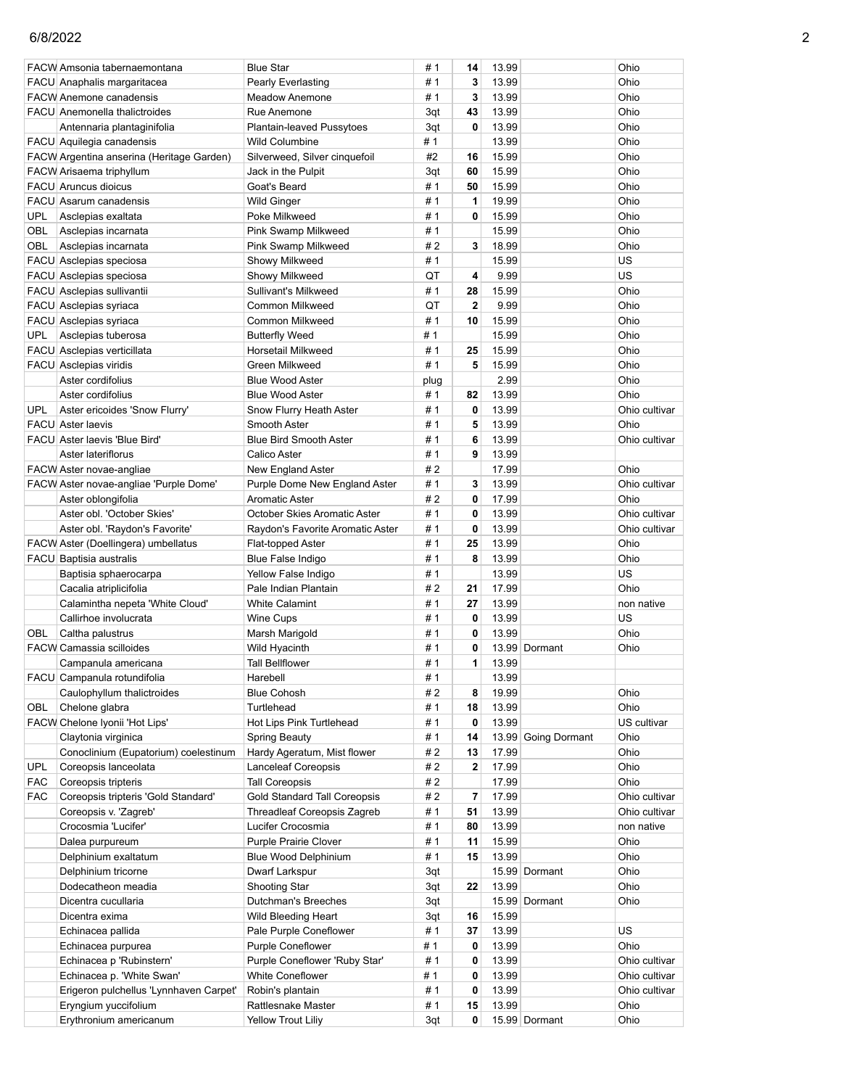|            | FACW Amsonia tabernaemontana              | <b>Blue Star</b>                    | # 1  | 14             | 13.99 |                     | Ohio          |
|------------|-------------------------------------------|-------------------------------------|------|----------------|-------|---------------------|---------------|
|            | FACU Anaphalis margaritacea               | <b>Pearly Everlasting</b>           | #1   | 3              | 13.99 |                     | Ohio          |
|            | <b>FACW Anemone canadensis</b>            | <b>Meadow Anemone</b>               | # 1  | 3              | 13.99 |                     | Ohio          |
|            | <b>FACU</b> Anemonella thalictroides      | Rue Anemone                         | 3qt  | 43             | 13.99 |                     | Ohio          |
|            | Antennaria plantaginifolia                | <b>Plantain-leaved Pussytoes</b>    | 3qt  | 0              | 13.99 |                     | Ohio          |
|            | FACU Aquilegia canadensis                 | <b>Wild Columbine</b>               | # 1  |                | 13.99 |                     | Ohio          |
|            | FACW Argentina anserina (Heritage Garden) | Silverweed, Silver cinquefoil       | #2   | 16             | 15.99 |                     | Ohio          |
|            | FACW Arisaema triphyllum                  | Jack in the Pulpit                  | 3qt  | 60             | 15.99 |                     | Ohio          |
|            | <b>FACU</b> Aruncus dioicus               | Goat's Beard                        | #1   | 50             | 15.99 |                     | Ohio          |
|            | FACU Asarum canadensis                    | Wild Ginger                         | # 1  | 1              | 19.99 |                     | Ohio          |
| <b>UPL</b> | Asclepias exaltata                        | Poke Milkweed                       | #1   | 0              | 15.99 |                     | Ohio          |
| OBL        | Asclepias incarnata                       | Pink Swamp Milkweed                 | #1   |                | 15.99 |                     | Ohio          |
| OBL        | Asclepias incarnata                       | Pink Swamp Milkweed                 | #2   | 3              | 18.99 |                     | Ohio          |
|            | FACU Asclepias speciosa                   | Showy Milkweed                      | # 1  |                | 15.99 |                     | US            |
|            |                                           |                                     |      | 4              | 9.99  |                     | US            |
|            | FACU Asclepias speciosa                   | Showy Milkweed                      | QT   |                |       |                     |               |
|            | FACU Asclepias sullivantii                | Sullivant's Milkweed                | #1   | 28             | 15.99 |                     | Ohio          |
|            | FACU Asclepias syriaca                    | Common Milkweed                     | QT   | $\overline{2}$ | 9.99  |                     | Ohio          |
|            | FACU Asclepias syriaca                    | Common Milkweed                     | # 1  | 10             | 15.99 |                     | Ohio          |
| <b>UPL</b> | Asclepias tuberosa                        | <b>Butterfly Weed</b>               | # 1  |                | 15.99 |                     | Ohio          |
|            | FACU Asclepias verticillata               | Horsetail Milkweed                  | #1   | 25             | 15.99 |                     | Ohio          |
|            | FACU Asclepias viridis                    | Green Milkweed                      | # 1  | 5              | 15.99 |                     | Ohio          |
|            | Aster cordifolius                         | <b>Blue Wood Aster</b>              | plug |                | 2.99  |                     | Ohio          |
|            | Aster cordifolius                         | <b>Blue Wood Aster</b>              | # 1  | 82             | 13.99 |                     | Ohio          |
| UPL        | Aster ericoides 'Snow Flurry'             | Snow Flurry Heath Aster             | #1   | 0              | 13.99 |                     | Ohio cultivar |
|            | <b>FACU</b> Aster laevis                  | Smooth Aster                        | #1   | 5              | 13.99 |                     | Ohio          |
|            | FACU Aster laevis 'Blue Bird'             | <b>Blue Bird Smooth Aster</b>       | # 1  | 6              | 13.99 |                     | Ohio cultivar |
|            | Aster lateriflorus                        | Calico Aster                        | #1   | 9              | 13.99 |                     |               |
|            | FACW Aster novae-angliae                  | New England Aster                   | #2   |                | 17.99 |                     | Ohio          |
|            | FACW Aster novae-angliae 'Purple Dome'    | Purple Dome New England Aster       | #1   | 3              | 13.99 |                     | Ohio cultivar |
|            | Aster oblongifolia                        | <b>Aromatic Aster</b>               | #2   | 0              | 17.99 |                     | Ohio          |
|            | Aster obl. 'October Skies'                | October Skies Aromatic Aster        | # 1  | 0              | 13.99 |                     | Ohio cultivar |
|            | Aster obl. 'Raydon's Favorite'            | Raydon's Favorite Aromatic Aster    | # 1  | 0              | 13.99 |                     | Ohio cultivar |
|            | FACW Aster (Doellingera) umbellatus       | Flat-topped Aster                   | #1   | 25             | 13.99 |                     | Ohio          |
|            | FACU Baptisia australis                   | Blue False Indigo                   | #1   | 8              | 13.99 |                     | Ohio          |
|            | Baptisia sphaerocarpa                     | Yellow False Indigo                 | #1   |                | 13.99 |                     | US            |
|            | Cacalia atriplicifolia                    | Pale Indian Plantain                | #2   | 21             | 17.99 |                     | Ohio          |
|            | Calamintha nepeta 'White Cloud'           | <b>White Calamint</b>               | #1   | 27             | 13.99 |                     | non native    |
|            | Callirhoe involucrata                     | Wine Cups                           | #1   | 0              | 13.99 |                     | US            |
| OBL        | Caltha palustrus                          | Marsh Marigold                      | # 1  | 0              | 13.99 |                     | Ohio          |
|            | <b>FACW Camassia scilloides</b>           | Wild Hyacinth                       | #1   | 0              |       | 13.99 Dormant       | Ohio          |
|            | Campanula americana                       | <b>Tall Bellflower</b>              | # 1  | 1              | 13.99 |                     |               |
|            | FACU Campanula rotundifolia               | Harebell                            | # 1  |                | 13.99 |                     |               |
|            | Caulophyllum thalictroides                | <b>Blue Cohosh</b>                  | #2   | 8              | 19.99 |                     | Ohio          |
|            |                                           | Turtlehead                          |      |                |       |                     | Ohio          |
| OBL        | Chelone glabra                            |                                     | #1   | 18             | 13.99 |                     |               |
|            | FACW Chelone Iyonii 'Hot Lips'            | Hot Lips Pink Turtlehead            | # 1  | 0              | 13.99 |                     | US cultivar   |
|            | Claytonia virginica                       | Spring Beauty                       | # 1  | 14             |       | 13.99 Going Dormant | Ohio          |
|            | Conoclinium (Eupatorium) coelestinum      | Hardy Ageratum, Mist flower         | #2   | 13             | 17.99 |                     | Ohio          |
| <b>UPL</b> | Coreopsis lanceolata                      | Lanceleaf Coreopsis                 | #2   | $\overline{2}$ | 17.99 |                     | Ohio          |
| <b>FAC</b> | Coreopsis tripteris                       | <b>Tall Coreopsis</b>               | #2   |                | 17.99 |                     | Ohio          |
| <b>FAC</b> | Coreopsis tripteris 'Gold Standard'       | <b>Gold Standard Tall Coreopsis</b> | # 2  | 7              | 17.99 |                     | Ohio cultivar |
|            | Coreopsis v. 'Zagreb'                     | <b>Threadleaf Coreopsis Zagreb</b>  | #1   | 51             | 13.99 |                     | Ohio cultivar |
|            | Crocosmia 'Lucifer'                       | Lucifer Crocosmia                   | # 1  | 80             | 13.99 |                     | non native    |
|            | Dalea purpureum                           | Purple Prairie Clover               | # 1  | 11             | 15.99 |                     | Ohio          |
|            | Delphinium exaltatum                      | <b>Blue Wood Delphinium</b>         | #1   | 15             | 13.99 |                     | Ohio          |
|            | Delphinium tricorne                       | Dwarf Larkspur                      | 3qt  |                |       | 15.99 Dormant       | Ohio          |
|            | Dodecatheon meadia                        | Shooting Star                       | 3qt  | 22             | 13.99 |                     | Ohio          |
|            | Dicentra cucullaria                       | Dutchman's Breeches                 | 3qt  |                |       | 15.99 Dormant       | Ohio          |
|            | Dicentra exima                            | Wild Bleeding Heart                 | 3qt  | 16             | 15.99 |                     |               |
|            | Echinacea pallida                         | Pale Purple Coneflower              | #1   | 37             | 13.99 |                     | US            |
|            | Echinacea purpurea                        | <b>Purple Coneflower</b>            | # 1  | 0              | 13.99 |                     | Ohio          |
|            | Echinacea p 'Rubinstern'                  | Purple Coneflower 'Ruby Star'       | #1   | 0              | 13.99 |                     | Ohio cultivar |
|            | Echinacea p. 'White Swan'                 | <b>White Coneflower</b>             | # 1  | 0              | 13.99 |                     | Ohio cultivar |
|            | Erigeron pulchellus 'Lynnhaven Carpet'    | Robin's plantain                    | #1   | 0              | 13.99 |                     | Ohio cultivar |
|            | Eryngium yuccifolium                      | Rattlesnake Master                  | #1   | 15             | 13.99 |                     | Ohio          |
|            | Erythronium americanum                    | Yellow Trout Liliy                  | 3qt  | 0              |       | 15.99 Dormant       | Ohio          |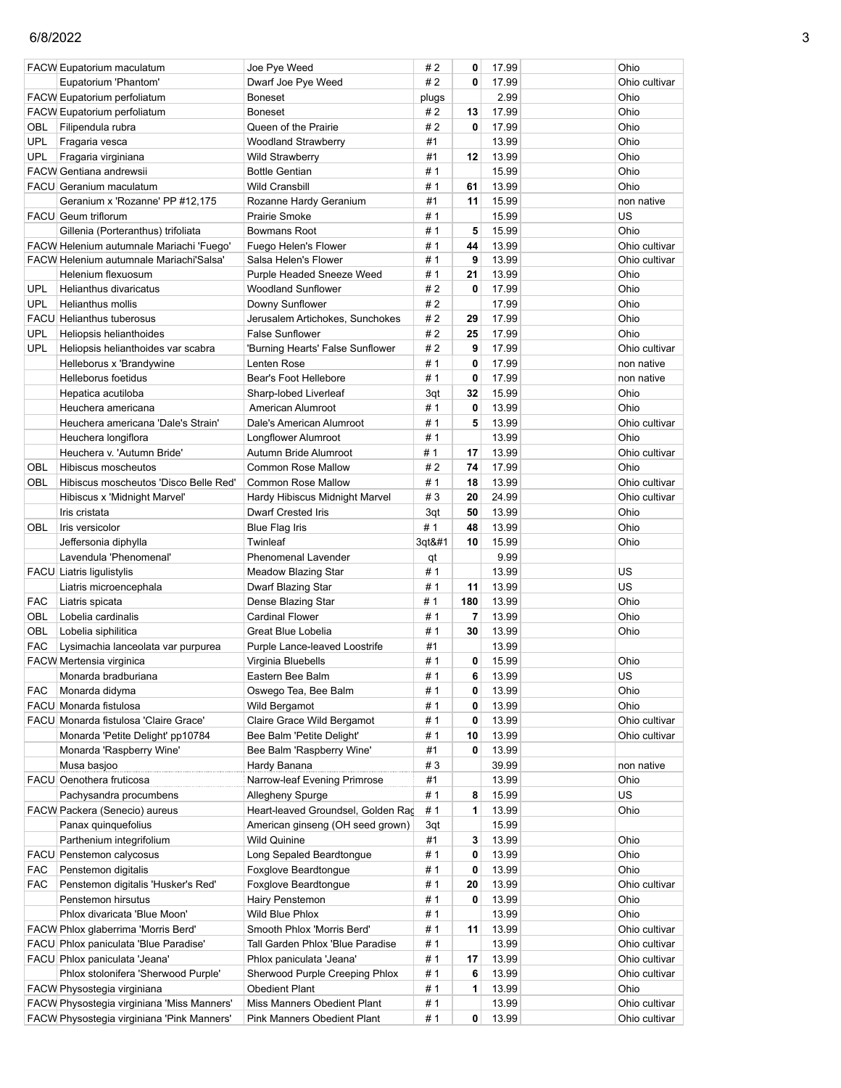|            | <b>FACW Eupatorium maculatum</b>                               | Joe Pye Weed                                 | # 2        | 0      | 17.99          | Ohio          |
|------------|----------------------------------------------------------------|----------------------------------------------|------------|--------|----------------|---------------|
|            | Eupatorium 'Phantom'                                           | Dwarf Joe Pye Weed                           | #2         | 0      | 17.99          | Ohio cultivar |
|            | FACW Eupatorium perfoliatum                                    | Boneset                                      | plugs      |        | 2.99           | Ohio          |
|            | FACW Eupatorium perfoliatum                                    | <b>Boneset</b>                               | # 2        | 13     | 17.99          | Ohio          |
| OBL        | Filipendula rubra                                              | Queen of the Prairie                         | #2         | 0      | 17.99          | Ohio          |
| <b>UPL</b> | Fragaria vesca                                                 | Woodland Strawberry                          | #1         |        | 13.99          | Ohio          |
| <b>UPL</b> | Fragaria virginiana                                            | Wild Strawberry                              | #1         | 12     | 13.99          | Ohio          |
|            | <b>FACW Gentiana andrewsii</b>                                 | <b>Bottle Gentian</b>                        | #1         |        | 15.99          | Ohio          |
|            | FACU Geranium maculatum                                        | Wild Cransbill                               | #1         | 61     | 13.99          | Ohio          |
|            | Geranium x 'Rozanne' PP #12,175                                | Rozanne Hardy Geranium                       | #1         | 11     | 15.99          | non native    |
|            | FACU Geum triflorum                                            | Prairie Smoke                                | #1         |        | 15.99          | US            |
|            | Gillenia (Porteranthus) trifoliata                             | Bowmans Root                                 | #1         | 5      | 15.99          | Ohio          |
|            | FACW Helenium autumnale Mariachi 'Fuego'                       | Fuego Helen's Flower                         | #1         | 44     | 13.99          | Ohio cultivar |
|            | FACW Helenium autumnale Mariachi'Salsa'                        | Salsa Helen's Flower                         | # 1        | 9      | 13.99          | Ohio cultivar |
|            | Helenium flexuosum                                             | Purple Headed Sneeze Weed                    | # 1        | 21     | 13.99          | Ohio          |
| <b>UPL</b> | Helianthus divaricatus                                         | Woodland Sunflower                           | #2         | 0      | 17.99          | Ohio          |
| <b>UPL</b> | Helianthus mollis                                              | Downy Sunflower                              | # 2        |        | 17.99          | Ohio          |
|            | FACU Helianthus tuberosus                                      | Jerusalem Artichokes, Sunchokes              | # 2        | 29     | 17.99          | Ohio          |
| UPL        | Heliopsis helianthoides                                        | <b>False Sunflower</b>                       | # 2        | 25     | 17.99          | Ohio          |
| <b>UPL</b> | Heliopsis helianthoides var scabra                             | 'Burning Hearts' False Sunflower             | #2         | 9      | 17.99          | Ohio cultivar |
|            | Helleborus x 'Brandywine                                       | Lenten Rose                                  | #1         | 0      | 17.99          | non native    |
|            | Helleborus foetidus                                            | Bear's Foot Hellebore                        | #1         | 0      | 17.99          | non native    |
|            | Hepatica acutiloba                                             | Sharp-lobed Liverleaf                        | 3qt        | 32     | 15.99          | Ohio          |
|            | Heuchera americana                                             | American Alumroot                            | # 1        | 0      | 13.99          | Ohio          |
|            | Heuchera americana 'Dale's Strain'                             | Dale's American Alumroot                     | #1         | 5      | 13.99          | Ohio cultivar |
|            | Heuchera longiflora                                            | Longflower Alumroot                          | # 1        |        | 13.99          | Ohio          |
|            | Heuchera v. 'Autumn Bride'                                     | Autumn Bride Alumroot                        | # 1        | 17     | 13.99          | Ohio cultivar |
| OBL        | Hibiscus moscheutos                                            | <b>Common Rose Mallow</b>                    | # 2        | 74     | 17.99          | Ohio          |
| OBL        | Hibiscus moscheutos 'Disco Belle Red'                          | Common Rose Mallow                           | #1         | 18     | 13.99          | Ohio cultivar |
|            | Hibiscus x 'Midnight Marvel'                                   | Hardy Hibiscus Midnight Marvel               | #3         | 20     | 24.99          | Ohio cultivar |
|            | Iris cristata                                                  | Dwarf Crested Iris                           | 3qt        | 50     | 13.99          | Ohio          |
| OBL        | Iris versicolor                                                | <b>Blue Flag Iris</b>                        | #1         | 48     | 13.99          | Ohio          |
|            | Jeffersonia diphylla                                           | Twinleaf                                     | 3qt       | 10     | 15.99          | Ohio          |
|            | Lavendula 'Phenomenal'                                         | Phenomenal Lavender                          | qt         |        | 9.99           |               |
|            | FACU Liatris ligulistylis                                      | Meadow Blazing Star                          | #1         |        | 13.99          | US            |
|            |                                                                | Dwarf Blazing Star                           | # 1        | 11     | 13.99          | US            |
| <b>FAC</b> | Liatris microencephala                                         |                                              | # 1        | 180    | 13.99          | Ohio          |
| OBL        | Liatris spicata<br>Lobelia cardinalis                          | Dense Blazing Star<br><b>Cardinal Flower</b> | #1         | 7      | 13.99          | Ohio          |
| OBL        |                                                                |                                              | #1         | 30     | 13.99          |               |
|            | Lobelia siphilitica                                            | Great Blue Lobelia                           |            |        |                | Ohio          |
| <b>FAC</b> | Lysimachia lanceolata var purpurea<br>FACW Mertensia virginica | Purple Lance-leaved Loostrife                | #1<br>#1   | 0      | 13.99<br>15.99 |               |
|            |                                                                | Virginia Bluebells<br>Eastern Bee Balm       |            | 6      |                | Ohio          |
|            | Monarda bradburiana                                            |                                              | # 1        |        | 13.99          | US            |
| <b>FAC</b> | Monarda didyma<br>FACU Monarda fistulosa                       | Oswego Tea, Bee Balm                         | #1         | 0      | 13.99          | Ohio          |
|            |                                                                | Wild Bergamot                                | # 1        | 0<br>0 | 13.99          | Ohio          |
|            | FACU Monarda fistulosa 'Claire Grace'                          | Claire Grace Wild Bergamot                   | # 1<br># 1 | 10     | 13.99          | Ohio cultivar |
|            | Monarda 'Petite Delight' pp10784                               | Bee Balm 'Petite Delight'                    |            |        | 13.99          | Ohio cultivar |
|            | Monarda 'Raspberry Wine'                                       | Bee Balm 'Raspberry Wine'                    | #1<br>#3   | 0      | 13.99<br>39.99 |               |
|            | Musa basjoo                                                    | Hardy Banana                                 |            |        |                | non native    |
|            | FACU Oenothera fruticosa                                       | Narrow-leaf Evening Primrose                 | #1         |        | 13.99          | Ohio          |
|            | Pachysandra procumbens                                         | Allegheny Spurge                             | # 1        | 8      | 15.99          | US            |
|            | FACW Packera (Senecio) aureus                                  | Heart-leaved Groundsel, Golden Rad           | #1         | 1      | 13.99          | Ohio          |
|            | Panax quinquefolius                                            | American ginseng (OH seed grown)             | 3qt        |        | 15.99          |               |
|            | Parthenium integrifolium                                       | Wild Quinine                                 | #1         | 3      | 13.99          | Ohio          |
|            | FACU Penstemon calycosus                                       | Long Sepaled Beardtongue                     | # 1        | 0      | 13.99          | Ohio          |
| FAC        | Penstemon digitalis                                            | Foxglove Beardtongue                         | # 1        | 0      | 13.99          | Ohio          |
| FAC        | Penstemon digitalis 'Husker's Red'                             | Foxglove Beardtongue                         | # 1        | 20     | 13.99          | Ohio cultivar |
|            | Penstemon hirsutus                                             | Hairy Penstemon                              | # 1        | 0      | 13.99          | Ohio          |
|            | Phlox divaricata 'Blue Moon'                                   | Wild Blue Phlox                              | # 1        |        | 13.99          | Ohio          |
|            | FACW Phlox glaberrima 'Morris Berd'                            | Smooth Phlox 'Morris Berd'                   | # 1        | 11     | 13.99          | Ohio cultivar |
|            | FACU Phlox paniculata 'Blue Paradise'                          | Tall Garden Phlox 'Blue Paradise             | # 1        |        | 13.99          | Ohio cultivar |
|            | FACU Phlox paniculata 'Jeana'                                  | Phlox paniculata 'Jeana'                     | # 1        | 17     | 13.99          | Ohio cultivar |
|            | Phlox stolonifera 'Sherwood Purple'                            | Sherwood Purple Creeping Phlox               | # 1        | 6      | 13.99          | Ohio cultivar |
|            | FACW Physostegia virginiana                                    | <b>Obedient Plant</b>                        | # 1        | 1      | 13.99          | Ohio          |
|            | FACW Physostegia virginiana 'Miss Manners'                     | Miss Manners Obedient Plant                  | # 1        |        | 13.99          | Ohio cultivar |
|            | FACW Physostegia virginiana 'Pink Manners'                     | Pink Manners Obedient Plant                  | # 1        | 0      | 13.99          | Ohio cultivar |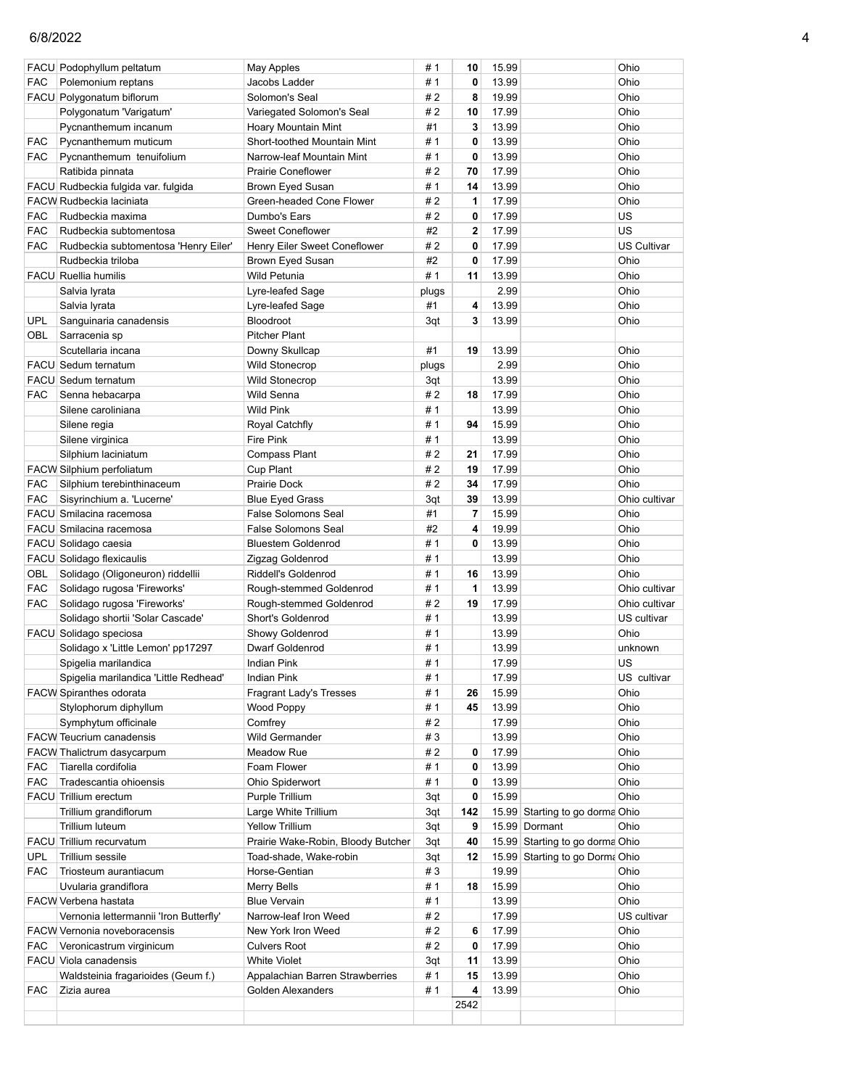|            | FACU Podophyllum peltatum              | <b>May Apples</b>                  | #1    | 10             | 15.99 |                                 | Ohio               |
|------------|----------------------------------------|------------------------------------|-------|----------------|-------|---------------------------------|--------------------|
| <b>FAC</b> | Polemonium reptans                     | Jacobs Ladder                      | #1    | 0              | 13.99 |                                 | Ohio               |
|            | FACU Polygonatum biflorum              | Solomon's Seal                     | #2    | 8              | 19.99 |                                 | Ohio               |
|            | Polygonatum 'Varigatum'                | Variegated Solomon's Seal          | #2    | 10             | 17.99 |                                 | Ohio               |
|            | Pycnanthemum incanum                   | <b>Hoary Mountain Mint</b>         | #1    | 3              | 13.99 |                                 | Ohio               |
|            |                                        | Short-toothed Mountain Mint        | # 1   | 0              |       |                                 | Ohio               |
| FAC        | Pycnanthemum muticum                   |                                    |       |                | 13.99 |                                 |                    |
| <b>FAC</b> | Pycnanthemum tenuifolium               | Narrow-leaf Mountain Mint          | # 1   | 0              | 13.99 |                                 | Ohio               |
|            | Ratibida pinnata                       | <b>Prairie Coneflower</b>          | #2    | 70             | 17.99 |                                 | Ohio               |
|            | FACU Rudbeckia fulgida var. fulgida    | Brown Eyed Susan                   | #1    | 14             | 13.99 |                                 | Ohio               |
|            | <b>FACW Rudbeckia laciniata</b>        | Green-headed Cone Flower           | #2    | 1              | 17.99 |                                 | Ohio               |
| <b>FAC</b> | Rudbeckia maxima                       | Dumbo's Ears                       | # 2   | 0              | 17.99 |                                 | US                 |
| <b>FAC</b> | Rudbeckia subtomentosa                 | <b>Sweet Coneflower</b>            | #2    | $\overline{2}$ | 17.99 |                                 | US                 |
| <b>FAC</b> | Rudbeckia subtomentosa 'Henry Eiler'   | Henry Eiler Sweet Coneflower       | #2    | $\mathbf 0$    | 17.99 |                                 | <b>US Cultivar</b> |
|            | Rudbeckia triloba                      | Brown Eyed Susan                   | #2    | $\mathbf 0$    | 17.99 |                                 | Ohio               |
|            | <b>FACU</b> Ruellia humilis            | Wild Petunia                       | #1    | 11             | 13.99 |                                 | Ohio               |
|            | Salvia Iyrata                          | Lyre-leafed Sage                   | plugs |                | 2.99  |                                 | Ohio               |
|            | Salvia lyrata                          | Lyre-leafed Sage                   | #1    | 4              | 13.99 |                                 | Ohio               |
| <b>UPL</b> | Sanguinaria canadensis                 | Bloodroot                          | 3qt   | 3              | 13.99 |                                 | Ohio               |
| OBL        | Sarracenia sp                          | <b>Pitcher Plant</b>               |       |                |       |                                 |                    |
|            | Scutellaria incana                     | Downy Skullcap                     | #1    | 19             | 13.99 |                                 | Ohio               |
|            | FACU Sedum ternatum                    | <b>Wild Stonecrop</b>              | plugs |                | 2.99  |                                 | Ohio               |
|            | FACU Sedum ternatum                    | <b>Wild Stonecrop</b>              | 3qt   |                | 13.99 |                                 | Ohio               |
| <b>FAC</b> | Senna hebacarpa                        | Wild Senna                         | #2    | 18             | 17.99 |                                 | Ohio               |
|            | Silene caroliniana                     | <b>Wild Pink</b>                   | # 1   |                | 13.99 |                                 | Ohio               |
|            | Silene regia                           | Royal Catchfly                     | #1    | 94             | 15.99 |                                 | Ohio               |
|            | Silene virginica                       | <b>Fire Pink</b>                   | #1    |                | 13.99 |                                 | Ohio               |
|            | Silphium laciniatum                    | <b>Compass Plant</b>               | #2    | 21             | 17.99 |                                 | Ohio               |
|            | FACW Silphium perfoliatum              | Cup Plant                          | #2    | 19             | 17.99 |                                 | Ohio               |
| FAC        | Silphium terebinthinaceum              | Prairie Dock                       | #2    | 34             | 17.99 |                                 | Ohio               |
| <b>FAC</b> | Sisyrinchium a. 'Lucerne'              | <b>Blue Eyed Grass</b>             | 3qt   | 39             | 13.99 |                                 | Ohio cultivar      |
|            | FACU Smilacina racemosa                | <b>False Solomons Seal</b>         | #1    | 7              | 15.99 |                                 | Ohio               |
|            | FACU Smilacina racemosa                | <b>False Solomons Seal</b>         | #2    | 4              | 19.99 |                                 | Ohio               |
|            | FACU Solidago caesia                   | <b>Bluestem Goldenrod</b>          | #1    | 0              | 13.99 |                                 | Ohio               |
|            | FACU Solidago flexicaulis              | Zigzag Goldenrod                   | # 1   |                | 13.99 |                                 | Ohio               |
| OBL        | Solidago (Oligoneuron) riddellii       | Riddell's Goldenrod                | #1    | 16             | 13.99 |                                 | Ohio               |
| <b>FAC</b> | Solidago rugosa 'Fireworks'            | Rough-stemmed Goldenrod            | #1    | 1              | 13.99 |                                 | Ohio cultivar      |
| <b>FAC</b> | Solidago rugosa 'Fireworks'            | Rough-stemmed Goldenrod            | #2    | 19             | 17.99 |                                 | Ohio cultivar      |
|            | Solidago shortii 'Solar Cascade'       | Short's Goldenrod                  | #1    |                | 13.99 |                                 | US cultivar        |
|            | FACU Solidago speciosa                 | Showy Goldenrod                    | # 1   |                | 13.99 |                                 | Ohio               |
|            | Solidago x 'Little Lemon' pp17297      | Dwarf Goldenrod                    | # 1   |                | 13.99 |                                 | unknown            |
|            |                                        | <b>Indian Pink</b>                 | #1    |                | 17.99 |                                 | US                 |
|            | Spigelia marilandica                   |                                    |       |                |       |                                 |                    |
|            | Spigelia marilandica 'Little Redhead'  | Indian Pink                        | # 1   |                | 17.99 |                                 | US cultivar        |
|            | <b>FACW Spiranthes odorata</b>         | <b>Fragrant Lady's Tresses</b>     | # 1   | 26             | 15.99 |                                 | Ohio               |
|            | Stylophorum diphyllum                  | Wood Poppy                         | # 1   | 45             | 13.99 |                                 | Ohio               |
|            | Symphytum officinale                   | Comfrey                            | #2    |                | 17.99 |                                 | Ohio               |
|            | <b>FACW Teucrium canadensis</b>        | <b>Wild Germander</b>              | #3    |                | 13.99 |                                 | Ohio               |
|            | FACW Thalictrum dasycarpum             | Meadow Rue                         | #2    | 0              | 17.99 |                                 | Ohio               |
| <b>FAC</b> | Tiarella cordifolia                    | Foam Flower                        | #1    | 0              | 13.99 |                                 | Ohio               |
| <b>FAC</b> | Tradescantia ohioensis                 | Ohio Spiderwort                    | #1    | 0              | 13.99 |                                 | Ohio               |
|            | FACU Trillium erectum                  | Purple Trillium                    | 3qt   | 0              | 15.99 |                                 | Ohio               |
|            | Trillium grandiflorum                  | Large White Trillium               | 3qt   | 142            |       | 15.99 Starting to go dorma Ohio |                    |
|            | Trillium luteum                        | <b>Yellow Trillium</b>             | 3qt   | 9              |       | 15.99 Dormant                   | Ohio               |
|            | FACU Trillium recurvatum               | Prairie Wake-Robin, Bloody Butcher | 3qt   | 40             |       | 15.99 Starting to go dorma Ohio |                    |
| <b>UPL</b> | Trillium sessile                       | Toad-shade, Wake-robin             | 3qt   | 12             |       | 15.99 Starting to go Dorma Ohio |                    |
| <b>FAC</b> | Triosteum aurantiacum                  | Horse-Gentian                      | #3    |                | 19.99 |                                 | Ohio               |
|            | Uvularia grandiflora                   | Merry Bells                        | # 1   | 18             | 15.99 |                                 | Ohio               |
|            | FACW Verbena hastata                   | <b>Blue Vervain</b>                | #1    |                | 13.99 |                                 | Ohio               |
|            | Vernonia lettermannii 'Iron Butterfly' | Narrow-leaf Iron Weed              | #2    |                | 17.99 |                                 | US cultivar        |
|            | FACW Vernonia noveboracensis           | New York Iron Weed                 | #2    | 6              | 17.99 |                                 | Ohio               |
| FAC        | Veronicastrum virginicum               | <b>Culvers Root</b>                | #2    | 0              | 17.99 |                                 | Ohio               |
|            | FACU Viola canadensis                  | <b>White Violet</b>                | 3qt   | 11             | 13.99 |                                 | Ohio               |
|            | Waldsteinia fragarioides (Geum f.)     | Appalachian Barren Strawberries    | # 1   | 15             | 13.99 |                                 | Ohio               |
| FAC        | Zizia aurea                            | Golden Alexanders                  | #1    | 4              | 13.99 |                                 | Ohio               |
|            |                                        |                                    |       | 2542           |       |                                 |                    |
|            |                                        |                                    |       |                |       |                                 |                    |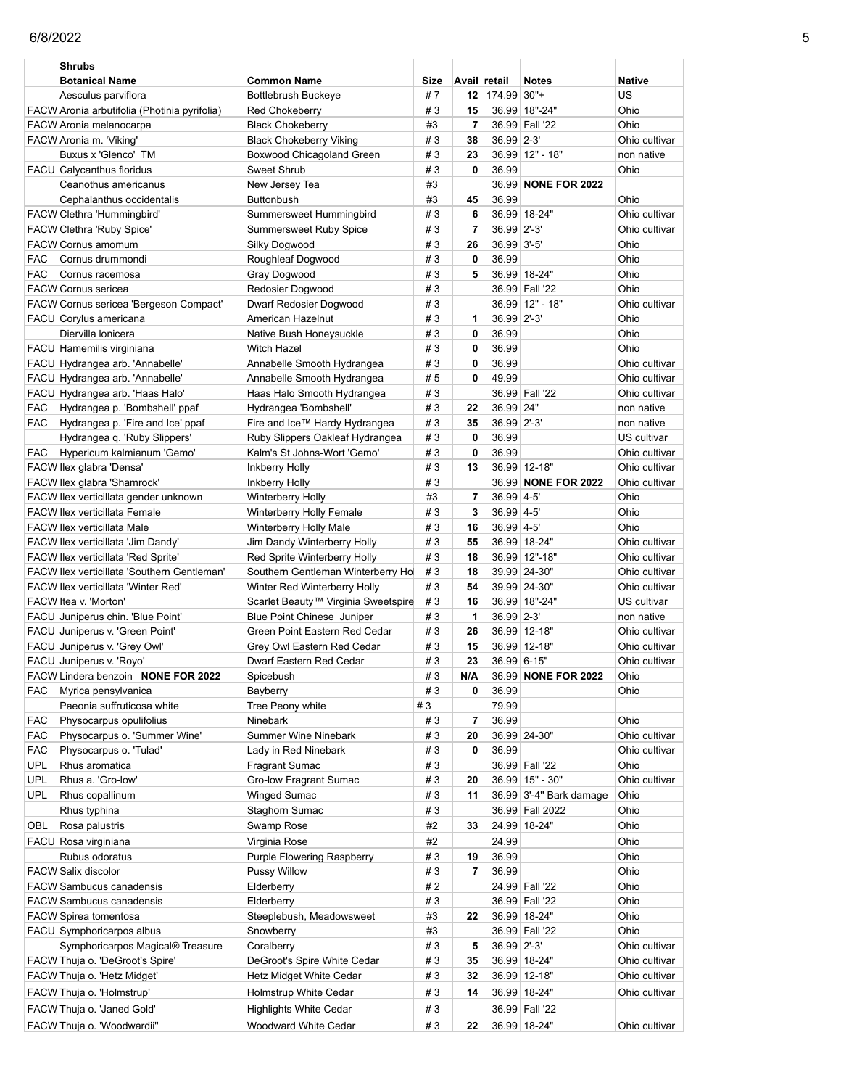|            | Shrubs                                       |                                                 |        |                         |              |                         |               |
|------------|----------------------------------------------|-------------------------------------------------|--------|-------------------------|--------------|-------------------------|---------------|
|            | <b>Botanical Name</b>                        | <b>Common Name</b>                              | Size   |                         | Avail retail | <b>Notes</b>            | Native        |
|            | Aesculus parviflora                          | <b>Bottlebrush Buckeye</b>                      | #7     | 12                      | 174.99 30"+  |                         | US            |
|            | FACW Aronia arbutifolia (Photinia pyrifolia) | Red Chokeberry                                  | #3     | 15                      |              | 36.99 18"-24"           | Ohio          |
|            | FACW Aronia melanocarpa                      | <b>Black Chokeberry</b>                         | #3     | 7                       |              | 36.99 Fall '22          | Ohio          |
|            |                                              |                                                 |        |                         |              |                         |               |
|            | FACW Aronia m. 'Viking'                      | <b>Black Chokeberry Viking</b>                  | #3     | 38                      | 36.99 2-3'   |                         | Ohio cultivar |
|            | Buxus x 'Glenco' TM                          | Boxwood Chicagoland Green                       | #3     | 23                      |              | 36.99 12" - 18"         | non native    |
|            | <b>FACU</b> Calycanthus floridus             | Sweet Shrub                                     | #3     | $\mathbf{0}$            | 36.99        |                         | Ohio          |
|            | Ceanothus americanus                         | New Jersey Tea                                  | #3     |                         |              | 36.99 NONE FOR 2022     |               |
|            | Cephalanthus occidentalis                    | Buttonbush                                      | #3     | 45                      | 36.99        |                         | Ohio          |
|            | <b>FACW Clethra 'Hummingbird'</b>            | Summersweet Hummingbird                         | #3     | 6                       |              | 36.99 18-24"            | Ohio cultivar |
|            |                                              |                                                 |        |                         | 36.99 2'-3'  |                         |               |
|            | FACW Clethra 'Ruby Spice'                    | Summersweet Ruby Spice                          | #3     | 7                       |              |                         | Ohio cultivar |
|            | <b>FACW Cornus amomum</b>                    | Silky Dogwood                                   | #3     | 26                      | 36.99 3'-5'  |                         | Ohio          |
| <b>FAC</b> | Cornus drummondi                             | Roughleaf Dogwood                               | #3     | 0                       | 36.99        |                         | Ohio          |
| <b>FAC</b> | Cornus racemosa                              | Gray Dogwood                                    | #3     | 5                       |              | 36.99 18-24"            | Ohio          |
|            | <b>FACW Cornus sericea</b>                   | Redosier Dogwood                                | #3     |                         |              | 36.99 Fall '22          | Ohio          |
|            | FACW Cornus sericea 'Bergeson Compact'       | Dwarf Redosier Dogwood                          | #3     |                         |              | 36.99 12" - 18"         | Ohio cultivar |
|            | FACU Corylus americana                       | American Hazelnut                               | #3     | 1                       | 36.99 2'-3'  |                         | Ohio          |
|            | Diervilla lonicera                           | Native Bush Honeysuckle                         | #3     | 0                       | 36.99        |                         | Ohio          |
|            | FACU Hamemilis virginiana                    | <b>Witch Hazel</b>                              | #3     | 0                       | 36.99        |                         | Ohio          |
|            |                                              |                                                 |        |                         |              |                         |               |
|            | FACU Hydrangea arb. 'Annabelle'              | Annabelle Smooth Hydrangea                      | #3     | 0                       | 36.99        |                         | Ohio cultivar |
|            | FACU Hydrangea arb. 'Annabelle'              | Annabelle Smooth Hydrangea                      | #5     | 0                       | 49.99        |                         | Ohio cultivar |
|            | FACU Hydrangea arb. 'Haas Halo'              | Haas Halo Smooth Hydrangea                      | #3     |                         |              | 36.99 Fall '22          | Ohio cultivar |
| <b>FAC</b> | Hydrangea p. 'Bombshell' ppaf                | Hydrangea 'Bombshell'                           | #3     | 22                      | 36.99 24"    |                         | non native    |
| <b>FAC</b> | Hydrangea p. 'Fire and Ice' ppaf             | Fire and Ice™ Hardy Hydrangea                   | #3     | 35                      | 36.99 2'-3'  |                         | non native    |
|            | Hydrangea q. 'Ruby Slippers'                 | Ruby Slippers Oakleaf Hydrangea                 | #3     | $\mathbf 0$             | 36.99        |                         | US cultivar   |
| FAC        | Hypericum kalmianum 'Gemo'                   | Kalm's St Johns-Wort 'Gemo'                     | #3     | 0                       | 36.99        |                         | Ohio cultivar |
|            | FACW Ilex glabra 'Densa'                     | Inkberry Holly                                  | #3     | 13                      |              | 36.99 12-18"            | Ohio cultivar |
|            |                                              |                                                 | #3     |                         |              |                         |               |
|            | FACW llex glabra 'Shamrock'                  | Inkberry Holly                                  |        |                         |              | 36.99 NONE FOR 2022     | Ohio cultivar |
|            | FACW llex verticillata gender unknown        | <b>Winterberry Holly</b>                        | #3     | $\overline{7}$          | 36.99 4-5'   |                         | Ohio          |
|            | <b>FACW llex verticillata Female</b>         | Winterberry Holly Female                        | #3     | 3                       | 36.99 4-5'   |                         | Ohio          |
|            | <b>FACW llex verticillata Male</b>           | Winterberry Holly Male                          | #3     | 16                      | 36.99 4-5    |                         | Ohio          |
|            | FACW Ilex verticillata 'Jim Dandy'           | Jim Dandy Winterberry Holly                     | #3     | 55                      |              | 36.99 18-24"            | Ohio cultivar |
|            | FACW Ilex verticillata 'Red Sprite'          | Red Sprite Winterberry Holly                    | #3     | 18                      |              | 36.99 12"-18"           | Ohio cultivar |
|            | FACW Ilex verticillata 'Southern Gentleman'  | Southern Gentleman Winterberry Ho               | #3     | 18                      |              | 39.99 24-30"            | Ohio cultivar |
|            | <b>FACW llex verticillata 'Winter Red'</b>   | Winter Red Winterberry Holly                    | #3     | 54                      |              | 39.99 24-30"            | Ohio cultivar |
|            | FACW Itea v. 'Morton'                        | Scarlet Beauty <sup>™</sup> Virginia Sweetspire | #3     | 16                      |              | 36.99 18"-24"           | US cultivar   |
|            | FACU Juniperus chin. 'Blue Point'            |                                                 | #3     | 1                       | 36.99 2-3'   |                         |               |
|            |                                              | Blue Point Chinese Juniper                      |        |                         |              |                         | non native    |
|            | FACU Juniperus v. 'Green Point'              | Green Point Eastern Red Cedar                   | #3     | 26                      |              | 36.99 12-18"            | Ohio cultivar |
|            | FACU Juniperus v. 'Grey Owl'                 | Grey Owl Eastern Red Cedar                      | #3     | 15                      |              | 36.99 12-18"            | Ohio cultivar |
|            | FACU Juniperus v. 'Royo'                     | Dwarf Eastern Red Cedar                         | #3     | 23                      | 36.99 6-15"  |                         | Ohio cultivar |
|            | FACW Lindera benzoin NONE FOR 2022           | Spicebush                                       | #3     | N/A                     |              | 36.99 NONE FOR 2022     | Ohio          |
| <b>FAC</b> | Myrica pensylvanica                          | Bayberry                                        | #3     | 0                       | 36.99        |                         | Ohio          |
|            | Paeonia suffruticosa white                   | Tree Peony white                                | #3     |                         | 79.99        |                         |               |
| <b>FAC</b> | Physocarpus opulifolius                      | Ninebark                                        | #3     | $\overline{\mathbf{r}}$ | 36.99        |                         | Ohio          |
| FAC        | Physocarpus o. 'Summer Wine'                 | Summer Wine Ninebark                            | #3     | 20                      |              | 36.99 24-30"            | Ohio cultivar |
| <b>FAC</b> | Physocarpus o. 'Tulad'                       | Lady in Red Ninebark                            | #3     | 0                       | 36.99        |                         | Ohio cultivar |
|            | Rhus aromatica                               |                                                 |        |                         |              | 36.99 Fall '22          |               |
| <b>UPL</b> |                                              | Fragrant Sumac                                  | #3     |                         |              |                         | Ohio          |
| UPL        | Rhus a. 'Gro-low'                            | Gro-low Fragrant Sumac                          | #3     | 20                      |              | 36.99 15" - 30"         | Ohio cultivar |
| UPL        | Rhus copallinum                              | <b>Winged Sumac</b>                             | #3     | 11                      |              | 36.99 3'-4" Bark damage | Ohio          |
|            | Rhus typhina                                 | Staghorn Sumac                                  | #3     |                         |              | 36.99 Fall 2022         | Ohio          |
| OBL        | Rosa palustris                               | Swamp Rose                                      | #2     | 33                      |              | 24.99 18-24"            | Ohio          |
|            | FACU Rosa virginiana                         | Virginia Rose                                   | #2     |                         | 24.99        |                         | Ohio          |
|            | Rubus odoratus                               | Purple Flowering Raspberry                      | #3     | 19                      | 36.99        |                         | Ohio          |
|            | FACW Salix discolor                          | Pussy Willow                                    | #3     | 7                       | 36.99        |                         | Ohio          |
|            |                                              |                                                 |        |                         |              |                         |               |
|            | <b>FACW Sambucus canadensis</b>              | Elderberry                                      | $\# 2$ |                         |              | 24.99 Fall '22          | Ohio          |
|            | <b>FACW Sambucus canadensis</b>              | Elderberry                                      | $\#$ 3 |                         |              | 36.99 Fall '22          | Ohio          |
|            | <b>FACW Spirea tomentosa</b>                 | Steeplebush, Meadowsweet                        | #3     | 22                      |              | 36.99 18-24"            | Ohio          |
|            | FACU Symphoricarpos albus                    | Snowberry                                       | #3     |                         |              | 36.99 Fall '22          | Ohio          |
|            | Symphoricarpos Magical® Treasure             | Coralberry                                      | #3     | 5                       | 36.99 2'-3'  |                         | Ohio cultivar |
|            | FACW Thuja o. 'DeGroot's Spire'              | DeGroot's Spire White Cedar                     | #3     | 35                      |              | 36.99 18-24"            | Ohio cultivar |
|            | FACW Thuja o. 'Hetz Midget'                  | Hetz Midget White Cedar                         | #3     | 32                      |              | 36.99 12-18"            | Ohio cultivar |
|            | FACW Thuja o. 'Holmstrup'                    | Holmstrup White Cedar                           | #3     | 14                      |              | 36.99 18-24"            | Ohio cultivar |
|            |                                              |                                                 |        |                         |              |                         |               |
|            | FACW Thuja o. 'Janed Gold'                   | <b>Highlights White Cedar</b>                   | #3     |                         |              | 36.99 Fall '22          |               |
|            | FACW Thuja o. 'Woodwardii"                   | Woodward White Cedar                            | #3     | 22                      |              | 36.99 18-24"            | Ohio cultivar |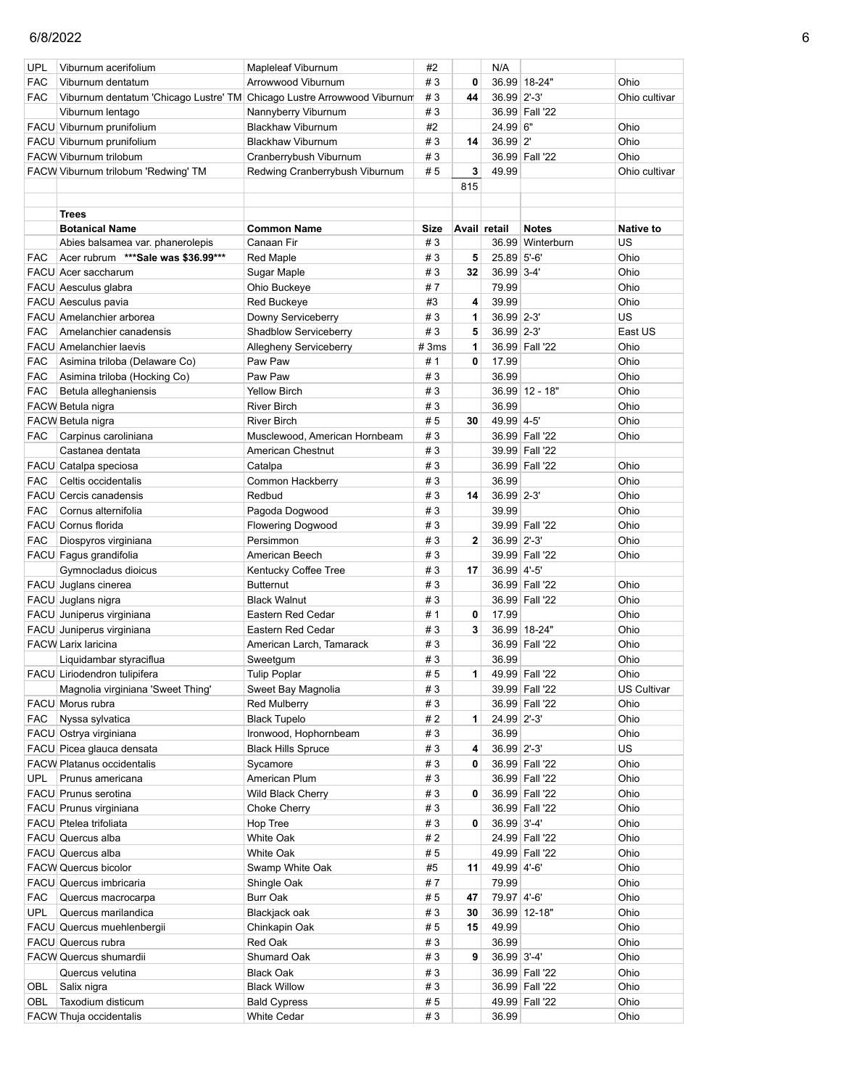| <b>UPL</b> | Viburnum acerifolium                                                    | Mapleleaf Viburnum                              | #2       |              | N/A                 |                                  |                    |
|------------|-------------------------------------------------------------------------|-------------------------------------------------|----------|--------------|---------------------|----------------------------------|--------------------|
| <b>FAC</b> | Viburnum dentatum                                                       | Arrowwood Viburnum                              | #3       | $\mathbf{0}$ |                     | 36.99 18-24"                     | Ohio               |
| <b>FAC</b> | Viburnum dentatum 'Chicago Lustre' TM Chicago Lustre Arrowwood Viburnum |                                                 | #3       | 44           | 36.99 2'-3'         |                                  | Ohio cultivar      |
|            | Viburnum lentago                                                        | Nannyberry Viburnum                             | #3       |              |                     | 36.99 Fall '22                   |                    |
|            | FACU Viburnum prunifolium                                               | <b>Blackhaw Viburnum</b>                        | #2       |              | 24.99 6"            |                                  | Ohio               |
|            | FACU Viburnum prunifolium                                               | <b>Blackhaw Viburnum</b>                        | #3       | 14           | 36.99 2'            |                                  | Ohio               |
|            | <b>FACW Viburnum trilobum</b>                                           | Cranberrybush Viburnum                          | #3       |              |                     | 36.99 Fall '22                   | Ohio               |
|            | FACW Viburnum trilobum 'Redwing' TM                                     | Redwing Cranberrybush Viburnum                  | #5       | 3            | 49.99               |                                  | Ohio cultivar      |
|            |                                                                         |                                                 |          | 815          |                     |                                  |                    |
|            |                                                                         |                                                 |          |              |                     |                                  |                    |
|            | <b>Trees</b>                                                            |                                                 |          |              |                     |                                  |                    |
|            | <b>Botanical Name</b>                                                   | <b>Common Name</b>                              | Size     |              | Avail retail        | <b>Notes</b>                     | <b>Native to</b>   |
|            | Abies balsamea var. phanerolepis                                        | Canaan Fir                                      | #3       |              |                     | 36.99 Winterburn                 | US                 |
| <b>FAC</b> | Acer rubrum *** Sale was \$36.99***                                     | <b>Red Maple</b>                                | #3       | 5            | 25.89 5'-6'         |                                  | Ohio               |
|            | FACU Acer saccharum                                                     | Sugar Maple                                     | #3       | 32           | 36.99 3-4           |                                  | Ohio               |
|            | FACU Aesculus glabra                                                    | Ohio Buckeye                                    | #7<br>#3 |              | 79.99               |                                  | Ohio               |
|            | FACU Aesculus pavia<br>FACU Amelanchier arborea                         | Red Buckeye                                     | #3       | 4            | 39.99<br>36.99 2-3' |                                  | Ohio<br>US         |
| <b>FAC</b> | Amelanchier canadensis                                                  | Downy Serviceberry                              | #3       | 1<br>5       | 36.99 2-3'          |                                  | East US            |
|            | <b>FACU</b> Amelanchier laevis                                          | Shadblow Serviceberry<br>Allegheny Serviceberry | #3ms     | 1            |                     | 36.99 Fall '22                   | Ohio               |
| <b>FAC</b> | Asimina triloba (Delaware Co)                                           | Paw Paw                                         | #1       | 0            | 17.99               |                                  | Ohio               |
| <b>FAC</b> | Asimina triloba (Hocking Co)                                            | Paw Paw                                         | #3       |              | 36.99               |                                  | Ohio               |
| <b>FAC</b> | Betula alleghaniensis                                                   | <b>Yellow Birch</b>                             | #3       |              |                     | 36.99 12 - 18"                   | Ohio               |
|            | FACW Betula nigra                                                       | <b>River Birch</b>                              | #3       |              | 36.99               |                                  | Ohio               |
|            | FACW Betula nigra                                                       | <b>River Birch</b>                              | #5       | 30           | 49.99 4-5'          |                                  | Ohio               |
| <b>FAC</b> | Carpinus caroliniana                                                    | Musclewood, American Hornbeam                   | #3       |              |                     | 36.99 Fall '22                   | Ohio               |
|            | Castanea dentata                                                        | American Chestnut                               | #3       |              |                     | 39.99 Fall '22                   |                    |
|            | FACU Catalpa speciosa                                                   | Catalpa                                         | #3       |              |                     | 36.99 Fall '22                   | Ohio               |
| <b>FAC</b> | Celtis occidentalis                                                     | Common Hackberry                                | #3       |              | 36.99               |                                  | Ohio               |
|            | <b>FACU</b> Cercis canadensis                                           | Redbud                                          | #3       | 14           | 36.99 2-3'          |                                  | Ohio               |
| <b>FAC</b> | Cornus alternifolia                                                     | Pagoda Dogwood                                  | #3       |              | 39.99               |                                  | Ohio               |
|            | FACU Cornus florida                                                     | <b>Flowering Dogwood</b>                        | #3       |              |                     | 39.99 Fall '22                   | Ohio               |
| <b>FAC</b> | Diospyros virginiana                                                    | Persimmon                                       | #3       | $\mathbf{2}$ | 36.99 2'-3'         |                                  | Ohio               |
|            | FACU Fagus grandifolia                                                  | American Beech                                  | #3       |              |                     | 39.99 Fall '22                   | Ohio               |
|            | Gymnocladus dioicus                                                     | Kentucky Coffee Tree                            | #3       | 17           | 36.99 4'-5'         |                                  |                    |
|            | FACU Juglans cinerea                                                    | <b>Butternut</b>                                | #3       |              |                     | 36.99 Fall '22                   | Ohio               |
|            | FACU Juglans nigra                                                      | <b>Black Walnut</b>                             | #3       |              |                     | 36.99 Fall '22                   | Ohio               |
|            | FACU Juniperus virginiana                                               | Eastern Red Cedar                               | # 1      | 0            | 17.99               |                                  | Ohio               |
|            | FACU Juniperus virginiana                                               | Eastern Red Cedar                               | #3       | 3            |                     | 36.99 18-24"                     | Ohio               |
|            | <b>FACW Larix laricina</b>                                              | American Larch, Tamarack                        | #3       |              |                     | 36.99 Fall '22                   | Ohio               |
|            | Liquidambar styraciflua                                                 | Sweetgum                                        | #3       |              | 36.99               |                                  | Ohio               |
|            | FACU Liriodendron tulipifera                                            | <b>Tulip Poplar</b>                             | #5       | 1            |                     | 49.99 Fall '22                   | Ohio               |
|            | Magnolia virginiana 'Sweet Thing'                                       | Sweet Bay Magnolia                              | #3       |              |                     | 39.99 Fall '22                   | <b>US Cultivar</b> |
|            | FACU Morus rubra                                                        | <b>Red Mulberry</b>                             | #3       |              |                     | 36.99 Fall '22                   | Ohio               |
| <b>FAC</b> | Nyssa sylvatica                                                         | <b>Black Tupelo</b>                             | #2       | 1            | 24.99 2'-3'         |                                  | Ohio               |
|            | FACU Ostrya virginiana                                                  | Ironwood, Hophornbeam                           | #3       |              | 36.99               |                                  | Ohio               |
|            | FACU Picea glauca densata                                               | <b>Black Hills Spruce</b>                       | #3       | 4            | 36.99 2'-3'         |                                  | US                 |
|            | <b>FACW Platanus occidentalis</b>                                       | Sycamore                                        | #3       | 0            |                     | 36.99 Fall '22                   | Ohio               |
| <b>UPL</b> | Prunus americana                                                        | American Plum                                   | #3       |              |                     | 36.99 Fall '22                   | Ohio               |
|            | FACU Prunus serotina                                                    | Wild Black Cherry                               | #3       | 0            |                     | 36.99 Fall '22                   | Ohio               |
|            | FACU Prunus virginiana                                                  | <b>Choke Cherry</b>                             | #3       |              |                     | 36.99 Fall '22                   | Ohio               |
|            | FACU Ptelea trifoliata                                                  | Hop Tree                                        | #3       | 0            | 36.99 3'-4'         |                                  | Ohio               |
|            | FACU Quercus alba                                                       | White Oak                                       | #2       |              |                     | 24.99 Fall '22                   | Ohio               |
|            | FACU Quercus alba                                                       | <b>White Oak</b>                                | #5       |              |                     | 49.99 Fall '22                   | Ohio               |
|            | <b>FACW Quercus bicolor</b>                                             | Swamp White Oak                                 | #5       | 11           | 49.99 4'-6'         |                                  | Ohio               |
|            | FACU Quercus imbricaria                                                 | Shingle Oak                                     | #7       |              | 79.99               |                                  | Ohio               |
| <b>FAC</b> | Quercus macrocarpa                                                      | <b>Burr Oak</b>                                 | #5       | 47           | 79.97 4'-6'         |                                  | Ohio               |
| <b>UPL</b> | Quercus marilandica                                                     | Blackjack oak                                   | #3       | 30           |                     | 36.99 12-18"                     | Ohio               |
|            | FACU Quercus muehlenbergii                                              | Chinkapin Oak                                   | #5       | 15           | 49.99               |                                  | Ohio               |
|            | FACU Quercus rubra                                                      | Red Oak                                         | #3       |              | 36.99               |                                  | Ohio               |
|            | <b>FACW Quercus shumardii</b>                                           | Shumard Oak                                     | #3       | 9            | 36.99 3'-4'         |                                  | Ohio               |
| OBL        | Quercus velutina                                                        | <b>Black Oak</b><br><b>Black Willow</b>         | #3<br>#3 |              |                     | 36.99 Fall '22<br>36.99 Fall '22 | Ohio<br>Ohio       |
| OBL        | Salix nigra<br>Taxodium disticum                                        | <b>Bald Cypress</b>                             | #5       |              |                     | 49.99 Fall '22                   | Ohio               |
|            | FACW Thuja occidentalis                                                 | White Cedar                                     | #3       |              | 36.99               |                                  | Ohio               |
|            |                                                                         |                                                 |          |              |                     |                                  |                    |